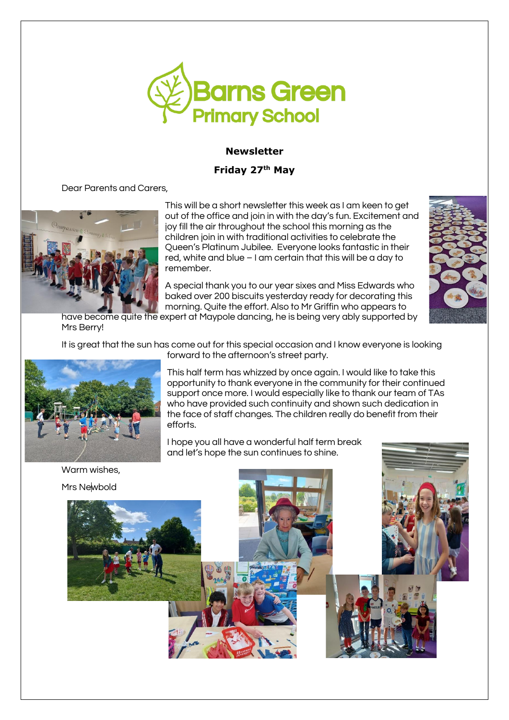

# **Newsletter**

# **Friday 27 th May**

Dear Parents and Carers,



This will be a short newsletter this week as I am keen to get out of the office and join in with the day's fun. Excitement and joy fill the air throughout the school this morning as the children join in with traditional activities to celebrate the Queen's Platinum Jubilee. Everyone looks fantastic in their red, white and blue – I am certain that this will be a day to remember.

A special thank you to our year sixes and Miss Edwards who baked over 200 biscuits yesterday ready for decorating this morning. Quite the effort. Also to Mr Griffin who appears to



have become quite the expert at Maypole dancing, he is being very ably supported by Mrs Berry!

It is great that the sun has come out for this special occasion and I know everyone is looking forward to the afternoon's street party.



This half term has whizzed by once again. I would like to take this opportunity to thank everyone in the community for their continued support once more. I would especially like to thank our team of TAs who have provided such continuity and shown such dedication in the face of staff changes. The children really do benefit from their efforts.

I hope you all have a wonderful half term break and let's hope the sun continues to shine.

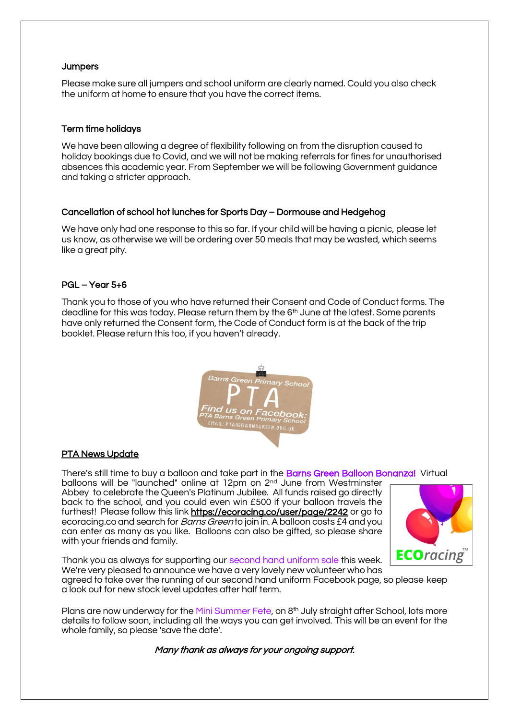## **Jumpers**

Please make sure all jumpers and school uniform are clearly named. Could you also check the uniform at home to ensure that you have the correct items.

## Term time holidays

We have been allowing a degree of flexibility following on from the disruption caused to holiday bookings due to Covid, and we will not be making referrals for fines for unauthorised absences this academic year. From September we will be following Government guidance and taking a stricter approach.

## Cancellation of school hot lunches for Sports Day – Dormouse and Hedgehog

We have only had one response to this so far. If your child will be having a picnic, please let us know, as otherwise we will be ordering over 50 meals that may be wasted, which seems like a great pity.

## PGL – Year 5+6

Thank you to those of you who have returned their Consent and Code of Conduct forms. The deadline for this was today. Please return them by the 6<sup>th</sup> June at the latest. Some parents have only returned the Consent form, the Code of Conduct form is at the back of the trip booklet. Please return this too, if you haven't already.



## PTA News Update

There's still time to buy a balloon and take part in the Barns Green Balloon Bonanza! Virtual balloons will be "launched" online at 12pm on 2<sup>nd</sup> June from Westminster Abbey to celebrate the Queen's Platinum Jubilee. All funds raised go directly back to the school, and you could even win £500 if your balloon travels the furthest! Please follow this link<https://ecoracing.co/user/page/2242> or go to ecoracing.co and search for *Barns Green* to join in. A balloon costs £4 and you can enter as many as you like. Balloons can also be gifted, so please share with your friends and family.



Thank you as always for supporting our second hand uniform sale this week. We're very pleased to announce we have a very lovely new volunteer who has

agreed to take over the running of our second hand uniform Facebook page, so please keep a look out for new stock level updates after half term.

Plans are now underway for the Mini Summer Fete, on 8<sup>th</sup> July straight after School, lots more details to follow soon, including all the ways you can get involved. This will be an event for the whole family, so please 'save the date'.

Many thank as always for your ongoing support.